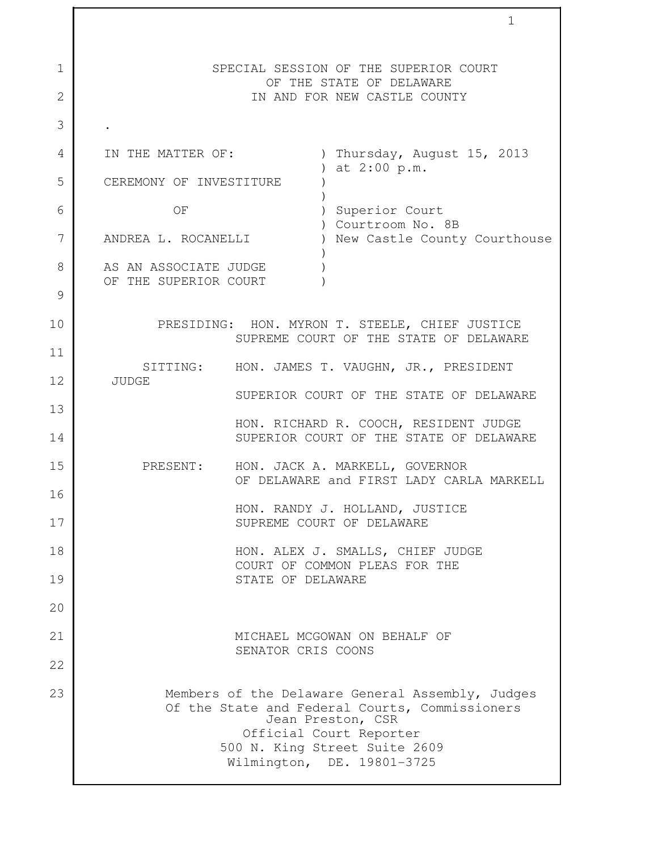|              |                                                |                    | 1                                                                                                                                                                                                                 |
|--------------|------------------------------------------------|--------------------|-------------------------------------------------------------------------------------------------------------------------------------------------------------------------------------------------------------------|
| $\mathbf{1}$ |                                                |                    | SPECIAL SESSION OF THE SUPERIOR COURT<br>OF THE STATE OF DELAWARE                                                                                                                                                 |
| $\mathbf{2}$ |                                                |                    | IN AND FOR NEW CASTLE COUNTY                                                                                                                                                                                      |
| 3            |                                                |                    |                                                                                                                                                                                                                   |
| 4            | IN THE MATTER OF:                              |                    | ) Thursday, August 15, 2013                                                                                                                                                                                       |
| 5            | CEREMONY OF INVESTITURE                        |                    | ) at 2:00 p.m.                                                                                                                                                                                                    |
| 6            | OF                                             |                    | ) Superior Court                                                                                                                                                                                                  |
| 7            | ANDREA L. ROCANELLI                            |                    | ) Courtroom No. 8B<br>) New Castle County Courthouse                                                                                                                                                              |
| 8            | AS AN ASSOCIATE JUDGE<br>OF THE SUPERIOR COURT |                    |                                                                                                                                                                                                                   |
| 9            |                                                |                    |                                                                                                                                                                                                                   |
| 10           |                                                |                    | PRESIDING: HON. MYRON T. STEELE, CHIEF JUSTICE<br>SUPREME COURT OF THE STATE OF DELAWARE                                                                                                                          |
| 11           |                                                |                    | SITTING: HON. JAMES T. VAUGHN, JR., PRESIDENT                                                                                                                                                                     |
| 12           | <b>JUDGE</b>                                   |                    | SUPERIOR COURT OF THE STATE OF DELAWARE                                                                                                                                                                           |
| 13           |                                                |                    |                                                                                                                                                                                                                   |
| 14           |                                                |                    | HON. RICHARD R. COOCH, RESIDENT JUDGE<br>SUPERIOR COURT OF THE STATE OF DELAWARE                                                                                                                                  |
| 15           |                                                |                    | PRESENT: HON. JACK A. MARKELL, GOVERNOR<br>OF DELAWARE and FIRST LADY CARLA MARKELL                                                                                                                               |
| 16           |                                                |                    | HON. RANDY J. HOLLAND, JUSTICE                                                                                                                                                                                    |
| 17           |                                                |                    | SUPREME COURT OF DELAWARE                                                                                                                                                                                         |
| 18           |                                                |                    | HON. ALEX J. SMALLS, CHIEF JUDGE<br>COURT OF COMMON PLEAS FOR THE                                                                                                                                                 |
| 19           |                                                | STATE OF DELAWARE  |                                                                                                                                                                                                                   |
| 20           |                                                |                    |                                                                                                                                                                                                                   |
| 21           |                                                |                    | MICHAEL MCGOWAN ON BEHALF OF                                                                                                                                                                                      |
| 22           |                                                | SENATOR CRIS COONS |                                                                                                                                                                                                                   |
| 23           |                                                |                    | Members of the Delaware General Assembly, Judges<br>Of the State and Federal Courts, Commissioners<br>Jean Preston, CSR<br>Official Court Reporter<br>500 N. King Street Suite 2609<br>Wilmington, DE. 19801-3725 |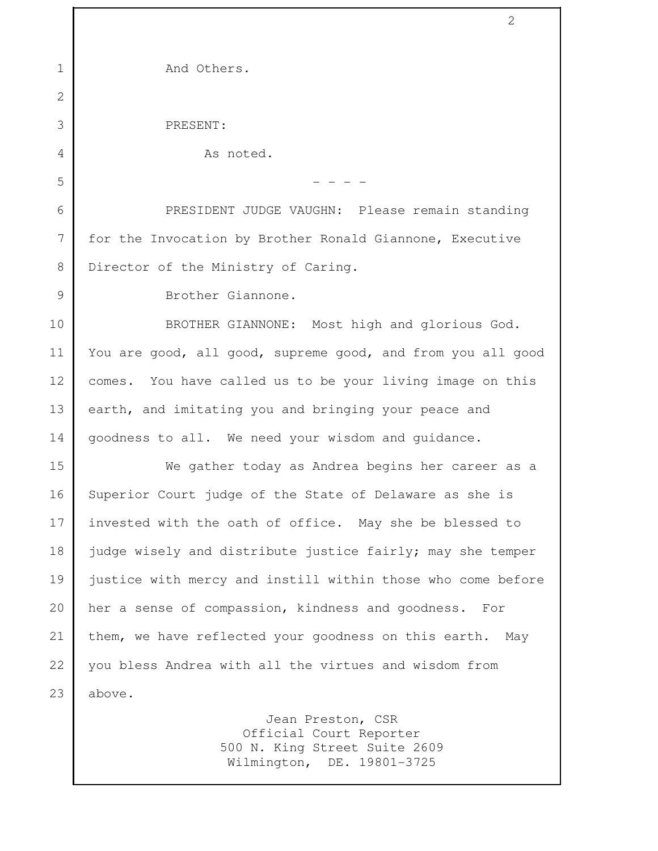| $\mathbf 1$  | And Others.                                                                                                 |
|--------------|-------------------------------------------------------------------------------------------------------------|
| $\mathbf{2}$ |                                                                                                             |
| 3            | PRESENT:                                                                                                    |
| 4            | As noted.                                                                                                   |
| 5            |                                                                                                             |
| 6            | PRESIDENT JUDGE VAUGHN: Please remain standing                                                              |
| 7            | for the Invocation by Brother Ronald Giannone, Executive                                                    |
| 8            | Director of the Ministry of Caring.                                                                         |
| 9            | Brother Giannone.                                                                                           |
| 10           | BROTHER GIANNONE: Most high and glorious God.                                                               |
| 11           | You are good, all good, supreme good, and from you all good                                                 |
| 12           | comes. You have called us to be your living image on this                                                   |
| 13           | earth, and imitating you and bringing your peace and                                                        |
| 14           | goodness to all. We need your wisdom and guidance.                                                          |
| 15           | We gather today as Andrea begins her career as a                                                            |
| 16           | Superior Court judge of the State of Delaware as she is                                                     |
| 17           | invested with the oath of office. May she be blessed to                                                     |
| 18           | judge wisely and distribute justice fairly; may she temper                                                  |
| 19           | justice with mercy and instill within those who come before                                                 |
| 20           | her a sense of compassion, kindness and goodness.<br>For                                                    |
| 21           | them, we have reflected your goodness on this earth. May                                                    |
| 22           | you bless Andrea with all the virtues and wisdom from                                                       |
| 23           | above.                                                                                                      |
|              | Jean Preston, CSR<br>Official Court Reporter<br>500 N. King Street Suite 2609<br>Wilmington, DE. 19801-3725 |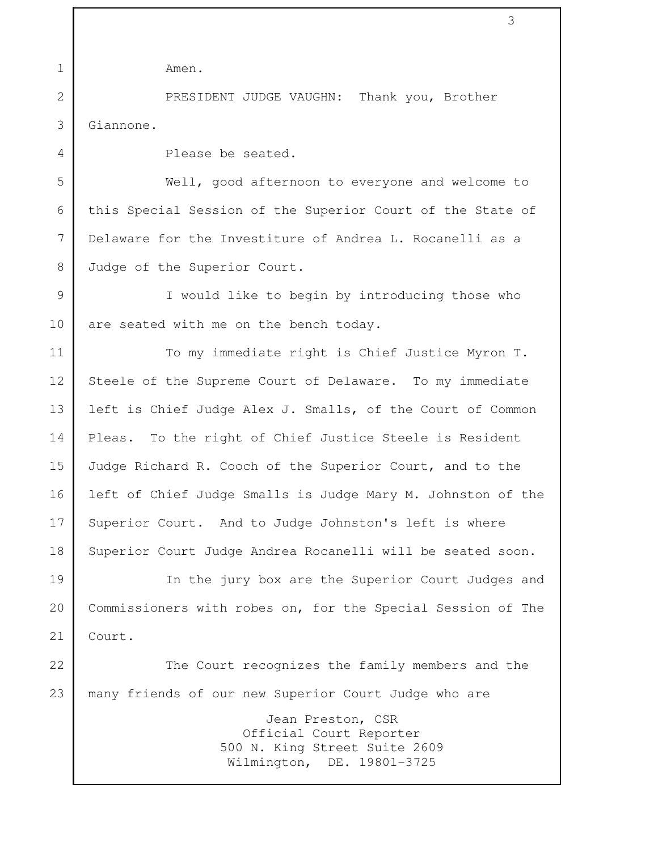| $\mathbf 1$    | Amen.                                                       |
|----------------|-------------------------------------------------------------|
| $\overline{2}$ | PRESIDENT JUDGE VAUGHN: Thank you, Brother                  |
| 3              | Giannone.                                                   |
| $\overline{4}$ | Please be seated.                                           |
| 5              | Well, good afternoon to everyone and welcome to             |
| 6              | this Special Session of the Superior Court of the State of  |
| 7              | Delaware for the Investiture of Andrea L. Rocanelli as a    |
| 8              | Judge of the Superior Court.                                |
| 9              | I would like to begin by introducing those who              |
| 10             | are seated with me on the bench today.                      |
| 11             | To my immediate right is Chief Justice Myron T.             |
| 12             | Steele of the Supreme Court of Delaware. To my immediate    |
| 13             | left is Chief Judge Alex J. Smalls, of the Court of Common  |
| 14             | Pleas. To the right of Chief Justice Steele is Resident     |
| 15             | Judge Richard R. Cooch of the Superior Court, and to the    |
| 16             | left of Chief Judge Smalls is Judge Mary M. Johnston of the |
| 17             | Superior Court. And to Judge Johnston's left is where       |
| 18             | Superior Court Judge Andrea Rocanelli will be seated soon.  |
| 19             | In the jury box are the Superior Court Judges and           |
| 20             | Commissioners with robes on, for the Special Session of The |
| 21             | Court.                                                      |
| 22             | The Court recognizes the family members and the             |
| 23             | many friends of our new Superior Court Judge who are        |
|                | Jean Preston, CSR                                           |

 Official Court Reporter 500 N. King Street Suite 2609 Wilmington, DE. 19801-3725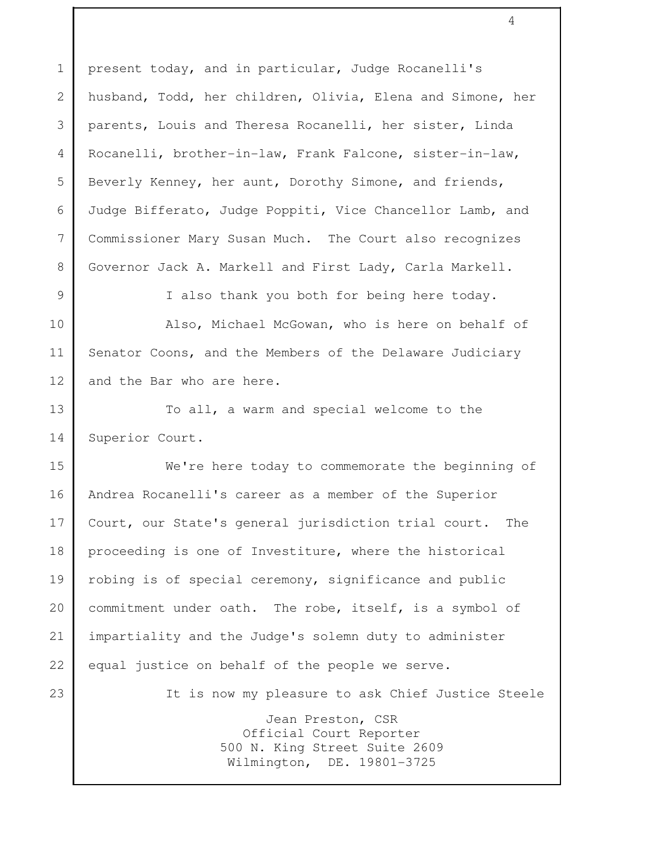1 present today, and in particular, Judge Rocanelli's 2 husband, Todd, her children, Olivia, Elena and Simone, her 3 parents, Louis and Theresa Rocanelli, her sister, Linda 4 Rocanelli, brother-in-law, Frank Falcone, sister-in-law, 5 Beverly Kenney, her aunt, Dorothy Simone, and friends, 6 Judge Bifferato, Judge Poppiti, Vice Chancellor Lamb, and 7 Commissioner Mary Susan Much. The Court also recognizes 8 Governor Jack A. Markell and First Lady, Carla Markell. 9 I also thank you both for being here today. 10 Also, Michael McGowan, who is here on behalf of 11 Senator Coons, and the Members of the Delaware Judiciary 12 and the Bar who are here. 13 To all, a warm and special welcome to the 14 Superior Court. 15 We're here today to commemorate the beginning of

16 Andrea Rocanelli's career as a member of the Superior 17 Court, our State's general jurisdiction trial court. The 18 proceeding is one of Investiture, where the historical 19 robing is of special ceremony, significance and public 20 commitment under oath. The robe, itself, is a symbol of 21 impartiality and the Judge's solemn duty to administer 22 equal justice on behalf of the people we serve. 23 It is now my pleasure to ask Chief Justice Steele Jean Preston, CSR Official Court Reporter 500 N. King Street Suite 2609 Wilmington, DE. 19801-3725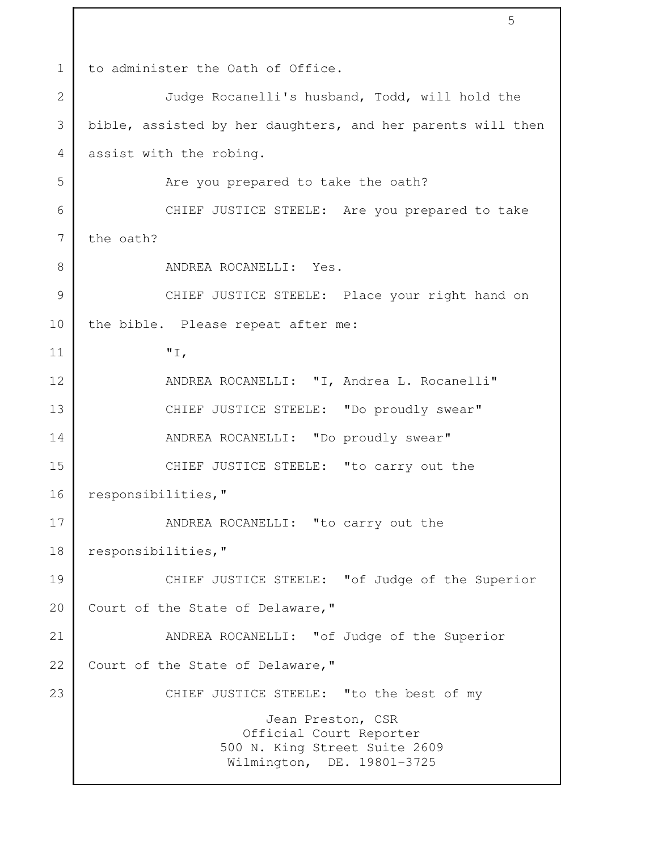1 to administer the Oath of Office. 2 Judge Rocanelli's husband, Todd, will hold the 3 bible, assisted by her daughters, and her parents will then 4 assist with the robing. 5 Are you prepared to take the oath? 6 CHIEF JUSTICE STEELE: Are you prepared to take  $7 \mid$  the oath? 8 ANDREA ROCANELLI: Yes. 9 CHIEF JUSTICE STEELE: Place your right hand on 10 the bible. Please repeat after me: 11 "I, 12 ANDREA ROCANELLI: "I, Andrea L. Rocanelli" 13 CHIEF JUSTICE STEELE: "Do proudly swear" 14 | ANDREA ROCANELLI: "Do proudly swear" 15 CHIEF JUSTICE STEELE: "to carry out the 16 responsibilities," 17 ANDREA ROCANELLI: "to carry out the 18 responsibilities," 19 CHIEF JUSTICE STEELE: "of Judge of the Superior 20 Court of the State of Delaware, " 21 ANDREA ROCANELLI: "of Judge of the Superior 22 Court of the State of Delaware, " 23 CHIEF JUSTICE STEELE: "to the best of my Jean Preston, CSR Official Court Reporter 500 N. King Street Suite 2609 Wilmington, DE. 19801-3725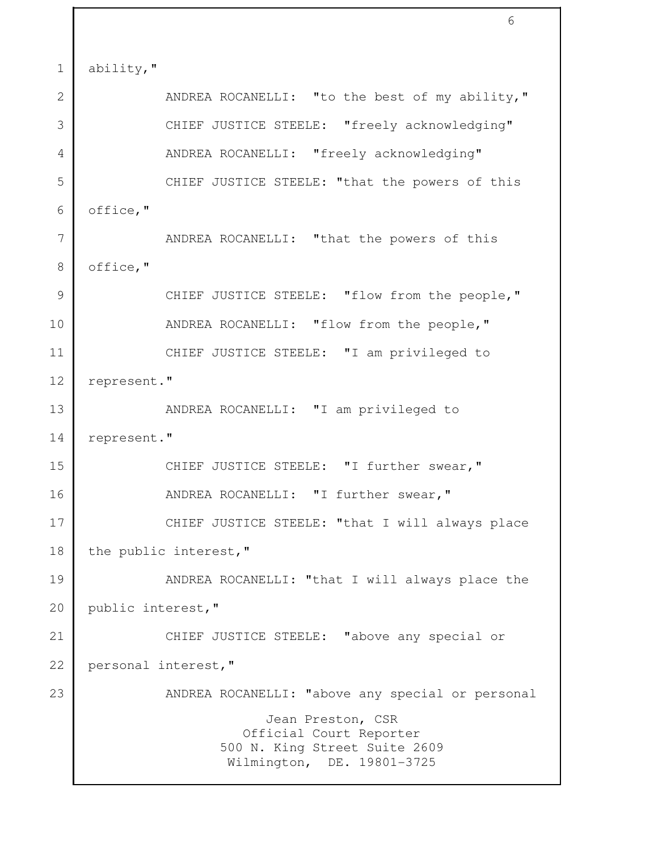1 ability, " 2 ANDREA ROCANELLI: "to the best of my ability," 3 | CHIEF JUSTICE STEELE: "freely acknowledging" 4 | ANDREA ROCANELLI: "freely acknowledging" 5 CHIEF JUSTICE STEELE: "that the powers of this 6 office," 7 ANDREA ROCANELLI: "that the powers of this 8 office," 9 CHIEF JUSTICE STEELE: "flow from the people," 10 ANDREA ROCANELLI: "flow from the people," 11 CHIEF JUSTICE STEELE: "I am privileged to 12 represent." 13 | ANDREA ROCANELLI: "I am privileged to 14 represent." 15 CHIEF JUSTICE STEELE: "I further swear," 16 ANDREA ROCANELLI: "I further swear," 17 CHIEF JUSTICE STEELE: "that I will always place 18 the public interest," 19 | ANDREA ROCANELLI: "that I will always place the 20 public interest," 21 CHIEF JUSTICE STEELE: "above any special or 22 personal interest," 23 ANDREA ROCANELLI: "above any special or personal Jean Preston, CSR Official Court Reporter 500 N. King Street Suite 2609 Wilmington, DE. 19801-3725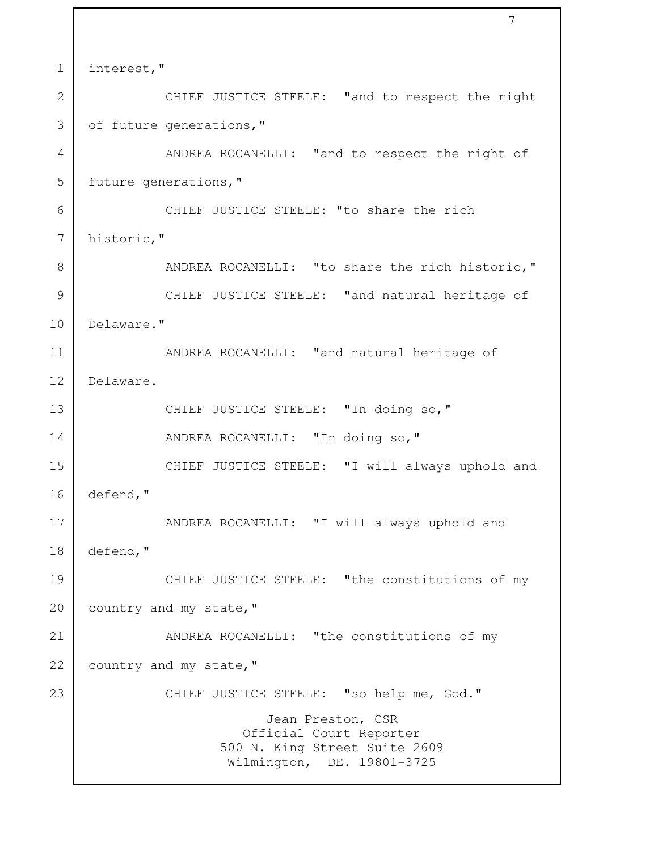```
 7
1 interest,"
2 CHIEF JUSTICE STEELE: "and to respect the right
3 of future generations,"
4 ANDREA ROCANELLI: "and to respect the right of
5 future generations, "
 6 CHIEF JUSTICE STEELE: "to share the rich
 7 historic," 
8 | ANDREA ROCANELLI: "to share the rich historic,"
9 CHIEF JUSTICE STEELE: "and natural heritage of
10 Delaware."
11 ANDREA ROCANELLI: "and natural heritage of
12 Delaware. 
13 CHIEF JUSTICE STEELE: "In doing so,"
14 ANDREA ROCANELLI: "In doing so,"
15 CHIEF JUSTICE STEELE: "I will always uphold and
16 defend,"
17 ANDREA ROCANELLI: "I will always uphold and
18 defend,"
19 CHIEF JUSTICE STEELE: "the constitutions of my
20 country and my state, "
21 ANDREA ROCANELLI: "the constitutions of my
22 country and my state, "
23 CHIEF JUSTICE STEELE: "so help me, God."
                        Jean Preston, CSR
                      Official Court Reporter
                   500 N. King Street Suite 2609
                    Wilmington, DE. 19801-3725
```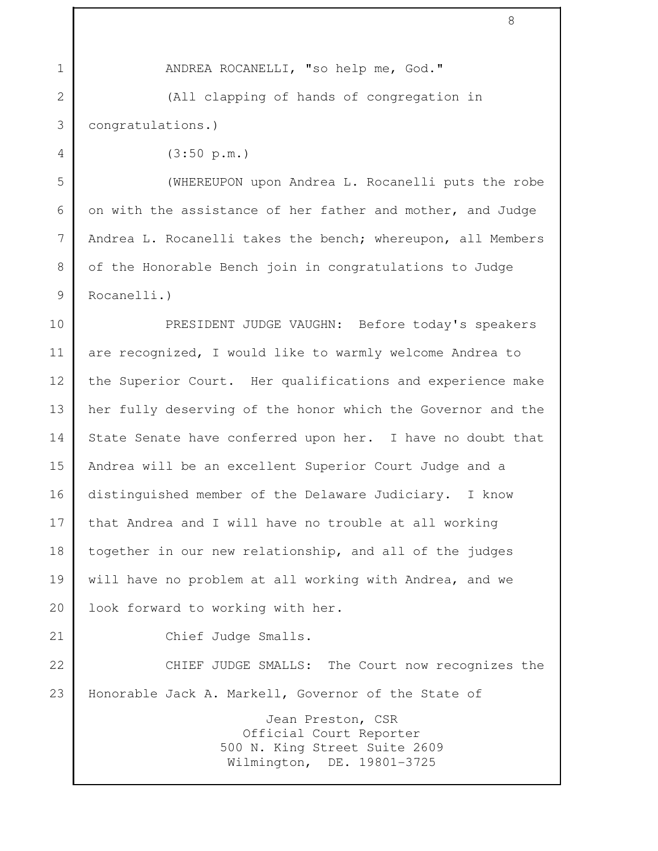| $\mathbf 1$    | ANDREA ROCANELLI, "so help me, God."                                                                        |
|----------------|-------------------------------------------------------------------------------------------------------------|
| $\overline{2}$ | (All clapping of hands of congregation in                                                                   |
| 3              | congratulations.)                                                                                           |
| $\overline{4}$ | (3:50 p.m.)                                                                                                 |
| 5              | (WHEREUPON upon Andrea L. Rocanelli puts the robe                                                           |
| 6              | on with the assistance of her father and mother, and Judge                                                  |
| 7              | Andrea L. Rocanelli takes the bench; whereupon, all Members                                                 |
| 8              | of the Honorable Bench join in congratulations to Judge                                                     |
| 9              | Rocanelli.)                                                                                                 |
| 10             | PRESIDENT JUDGE VAUGHN: Before today's speakers                                                             |
| 11             | are recognized, I would like to warmly welcome Andrea to                                                    |
| 12             | the Superior Court. Her qualifications and experience make                                                  |
| 13             | her fully deserving of the honor which the Governor and the                                                 |
| 14             | State Senate have conferred upon her. I have no doubt that                                                  |
| 15             | Andrea will be an excellent Superior Court Judge and a                                                      |
| 16             | distinguished member of the Delaware Judiciary. I know                                                      |
| 17             | that Andrea and I will have no trouble at all working                                                       |
| 18             | together in our new relationship, and all of the judges                                                     |
| 19             | will have no problem at all working with Andrea, and we                                                     |
| 20             | look forward to working with her.                                                                           |
| 21             | Chief Judge Smalls.                                                                                         |
| 22             | CHIEF JUDGE SMALLS: The Court now recognizes the                                                            |
| 23             | Honorable Jack A. Markell, Governor of the State of                                                         |
|                | Jean Preston, CSR<br>Official Court Reporter<br>500 N. King Street Suite 2609<br>Wilmington, DE. 19801-3725 |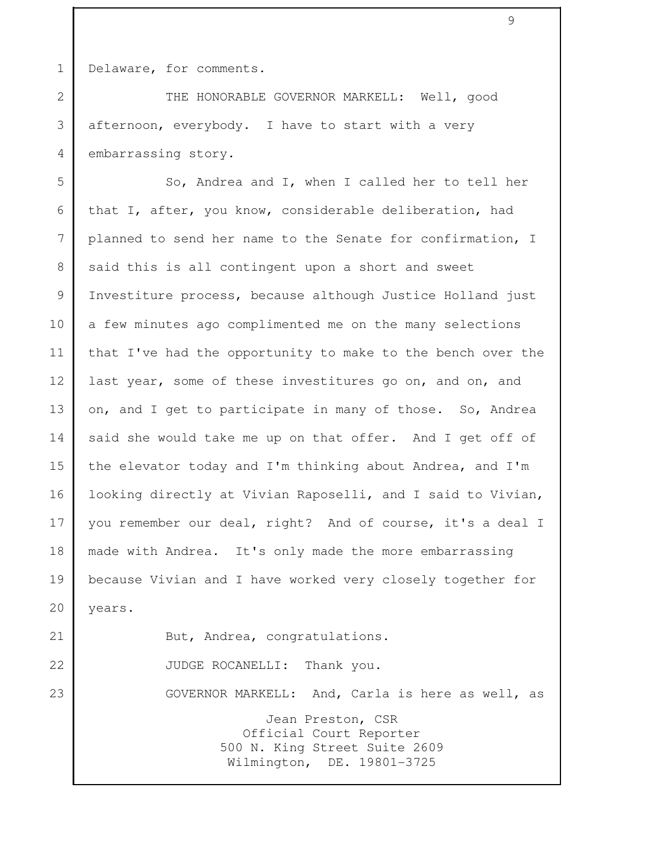1 Delaware, for comments.

2 THE HONORABLE GOVERNOR MARKELL: Well, good 3 afternoon, everybody. I have to start with a very 4 embarrassing story.

9

5 So, Andrea and I, when I called her to tell her 6 that I, after, you know, considerable deliberation, had 7 planned to send her name to the Senate for confirmation, I 8 said this is all contingent upon a short and sweet 9 | Investiture process, because although Justice Holland just 10 a few minutes ago complimented me on the many selections 11 that I've had the opportunity to make to the bench over the 12 last year, some of these investitures go on, and on, and 13 on, and I get to participate in many of those. So, Andrea 14 said she would take me up on that offer. And I get off of 15 the elevator today and I'm thinking about Andrea, and I'm 16 looking directly at Vivian Raposelli, and I said to Vivian, 17 you remember our deal, right? And of course, it's a deal I 18 made with Andrea. It's only made the more embarrassing 19 because Vivian and I have worked very closely together for 20 | years. 21 But, Andrea, congratulations. 22 JUDGE ROCANELLI: Thank you. 23 GOVERNOR MARKELL: And, Carla is here as well, as Jean Preston, CSR Official Court Reporter

 500 N. King Street Suite 2609 Wilmington, DE. 19801-3725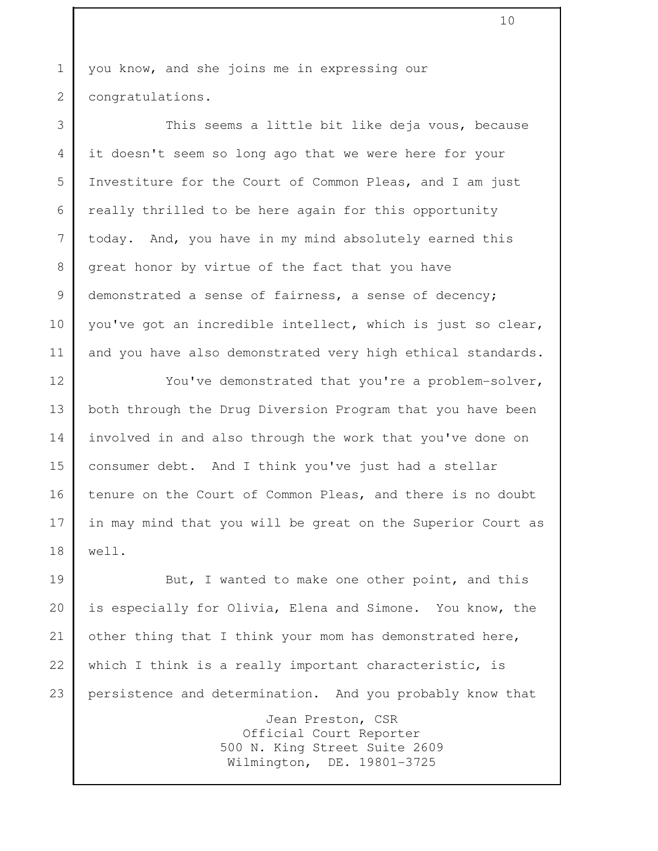1 you know, and she joins me in expressing our 2 congratulations.

3 This seems a little bit like deja vous, because 4 it doesn't seem so long ago that we were here for your 5 Investiture for the Court of Common Pleas, and I am just 6 really thrilled to be here again for this opportunity 7 today. And, you have in my mind absolutely earned this 8 great honor by virtue of the fact that you have 9 demonstrated a sense of fairness, a sense of decency; 10 you've got an incredible intellect, which is just so clear, 11 and you have also demonstrated very high ethical standards.

12 You've demonstrated that you're a problem-solver, 13 both through the Drug Diversion Program that you have been 14 involved in and also through the work that you've done on 15 consumer debt. And I think you've just had a stellar 16 tenure on the Court of Common Pleas, and there is no doubt 17 in may mind that you will be great on the Superior Court as 18 well.

19 But, I wanted to make one other point, and this 20 is especially for Olivia, Elena and Simone. You know, the 21 other thing that I think your mom has demonstrated here, 22 which I think is a really important characteristic, is 23 persistence and determination. And you probably know that Jean Preston, CSR

 Official Court Reporter 500 N. King Street Suite 2609 Wilmington, DE. 19801-3725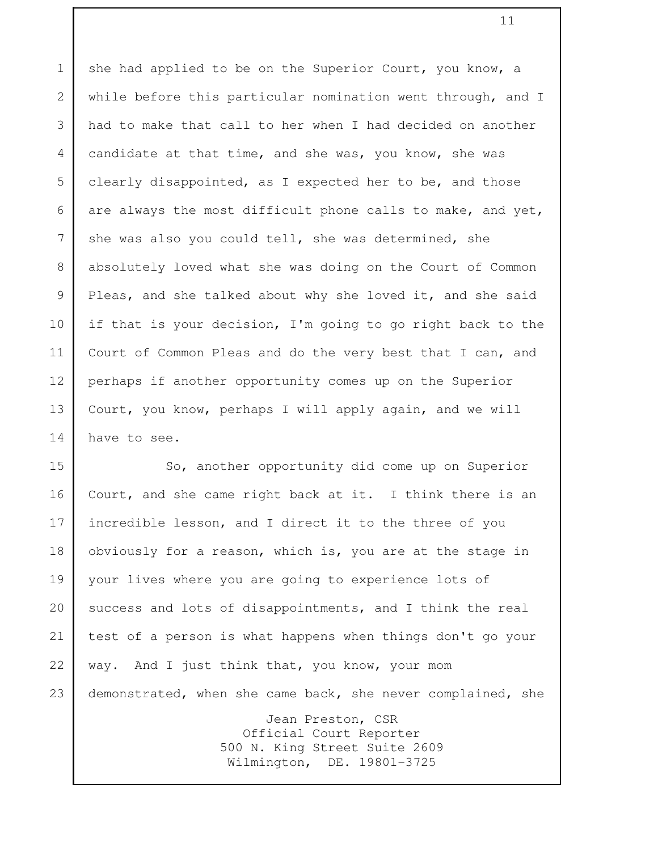1 she had applied to be on the Superior Court, you know, a 2 while before this particular nomination went through, and I 3 had to make that call to her when I had decided on another 4 candidate at that time, and she was, you know, she was 5 clearly disappointed, as I expected her to be, and those 6 are always the most difficult phone calls to make, and yet, 7 she was also you could tell, she was determined, she 8 absolutely loved what she was doing on the Court of Common 9 Pleas, and she talked about why she loved it, and she said 10 if that is your decision, I'm going to go right back to the 11 Court of Common Pleas and do the very best that I can, and 12 perhaps if another opportunity comes up on the Superior 13 Court, you know, perhaps I will apply again, and we will 14 have to see.

15 So, another opportunity did come up on Superior 16 Court, and she came right back at it. I think there is an 17 incredible lesson, and I direct it to the three of you 18 obviously for a reason, which is, you are at the stage in 19 your lives where you are going to experience lots of 20 success and lots of disappointments, and I think the real 21 test of a person is what happens when things don't go your 22 way. And I just think that, you know, your mom 23 demonstrated, when she came back, she never complained, she Jean Preston, CSR Official Court Reporter 500 N. King Street Suite 2609 Wilmington, DE. 19801-3725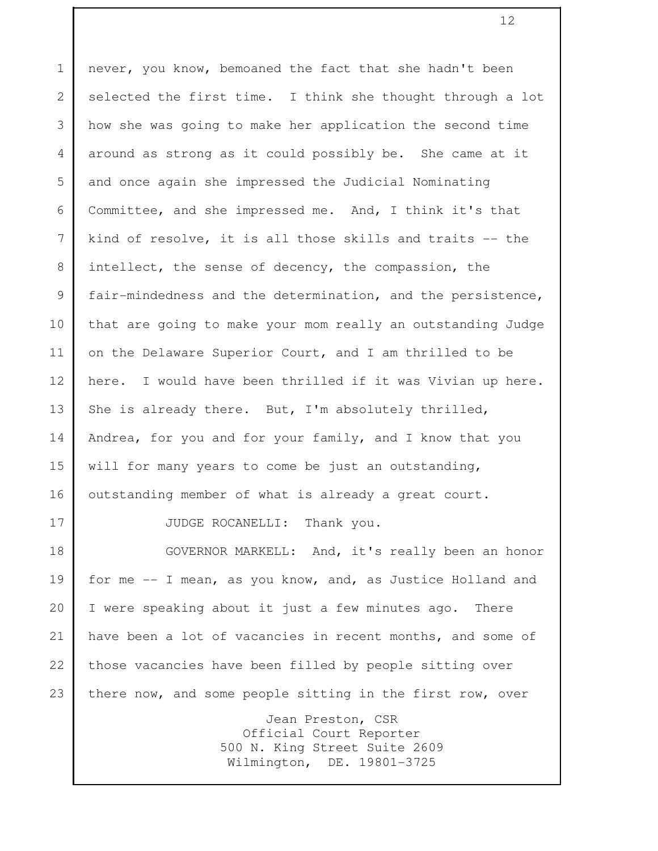1 never, you know, bemoaned the fact that she hadn't been 2 selected the first time. I think she thought through a lot 3 how she was going to make her application the second time 4 around as strong as it could possibly be. She came at it 5 and once again she impressed the Judicial Nominating 6 Committee, and she impressed me. And, I think it's that 7 kind of resolve, it is all those skills and traits -- the 8 intellect, the sense of decency, the compassion, the 9 | fair-mindedness and the determination, and the persistence, 10 that are going to make your mom really an outstanding Judge 11 on the Delaware Superior Court, and I am thrilled to be 12 here. I would have been thrilled if it was Vivian up here. 13 She is already there. But, I'm absolutely thrilled, 14 | Andrea, for you and for your family, and I know that you 15 will for many years to come be just an outstanding, 16 outstanding member of what is already a great court. 17 JUDGE ROCANELLI: Thank you. 18 GOVERNOR MARKELL: And, it's really been an honor 19 | for me -- I mean, as you know, and, as Justice Holland and 20 I were speaking about it just a few minutes ago. There 21 have been a lot of vacancies in recent months, and some of 22 those vacancies have been filled by people sitting over 23 there now, and some people sitting in the first row, over Jean Preston, CSR Official Court Reporter 500 N. King Street Suite 2609 Wilmington, DE. 19801-3725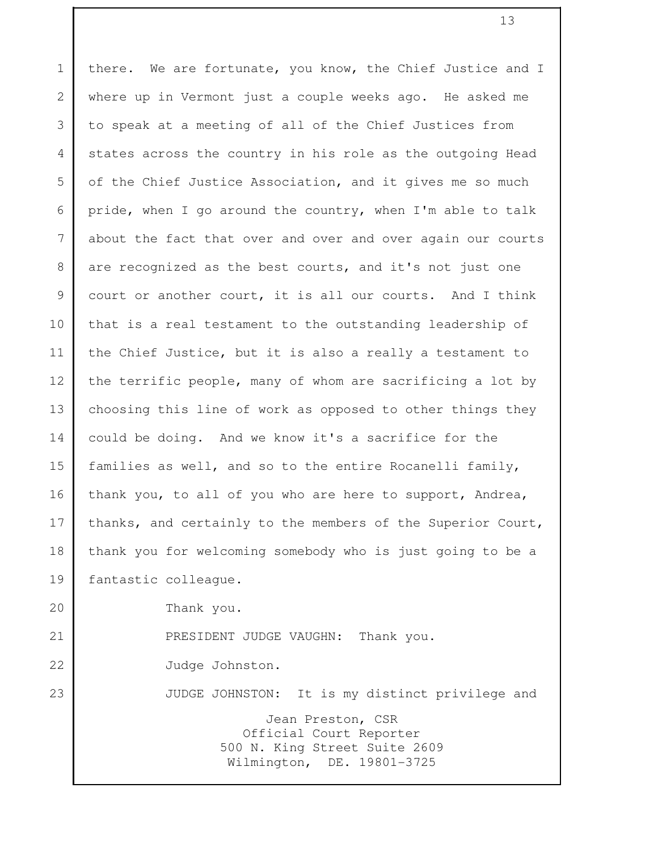1 there. We are fortunate, you know, the Chief Justice and I 2 where up in Vermont just a couple weeks ago. He asked me 3 to speak at a meeting of all of the Chief Justices from 4 states across the country in his role as the outgoing Head 5 of the Chief Justice Association, and it gives me so much 6 pride, when I go around the country, when I'm able to talk 7 about the fact that over and over and over again our courts 8 are recognized as the best courts, and it's not just one 9 court or another court, it is all our courts. And I think 10 that is a real testament to the outstanding leadership of 11 the Chief Justice, but it is also a really a testament to 12 the terrific people, many of whom are sacrificing a lot by 13 choosing this line of work as opposed to other things they 14 could be doing. And we know it's a sacrifice for the 15 families as well, and so to the entire Rocanelli family, 16 thank you, to all of you who are here to support, Andrea, 17 thanks, and certainly to the members of the Superior Court, 18 thank you for welcoming somebody who is just going to be a 19 fantastic colleague. 20 Thank you. 21 PRESIDENT JUDGE VAUGHN: Thank you. 22 Judge Johnston. 23 JUDGE JOHNSTON: It is my distinct privilege and Jean Preston, CSR Official Court Reporter 500 N. King Street Suite 2609 Wilmington, DE. 19801-3725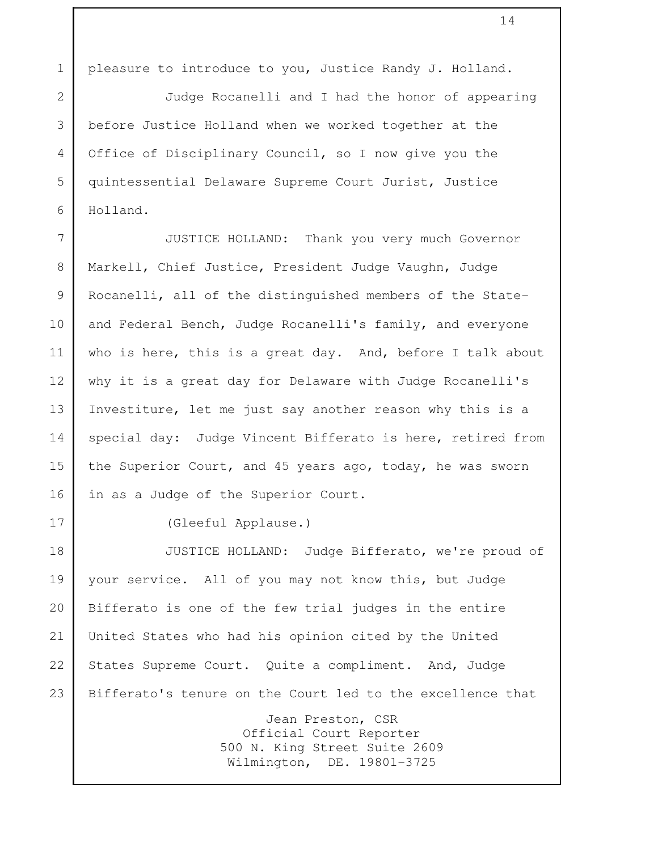1 pleasure to introduce to you, Justice Randy J. Holland.

 2 Judge Rocanelli and I had the honor of appearing 3 before Justice Holland when we worked together at the 4 Office of Disciplinary Council, so I now give you the 5 quintessential Delaware Supreme Court Jurist, Justice 6 Holland.

 7 JUSTICE HOLLAND: Thank you very much Governor 8 Markell, Chief Justice, President Judge Vaughn, Judge 9 Rocanelli, all of the distinguished members of the State-10 and Federal Bench, Judge Rocanelli's family, and everyone 11 who is here, this is a great day. And, before I talk about 12 why it is a great day for Delaware with Judge Rocanelli's 13 Investiture, let me just say another reason why this is a 14 special day: Judge Vincent Bifferato is here, retired from 15 the Superior Court, and 45 years ago, today, he was sworn 16 in as a Judge of the Superior Court.

17 (Gleeful Applause.)

18 JUSTICE HOLLAND: Judge Bifferato, we're proud of 19 your service. All of you may not know this, but Judge 20 Bifferato is one of the few trial judges in the entire 21 United States who had his opinion cited by the United 22 States Supreme Court. Quite a compliment. And, Judge 23 Bifferato's tenure on the Court led to the excellence that Jean Preston, CSR Official Court Reporter 500 N. King Street Suite 2609 Wilmington, DE. 19801-3725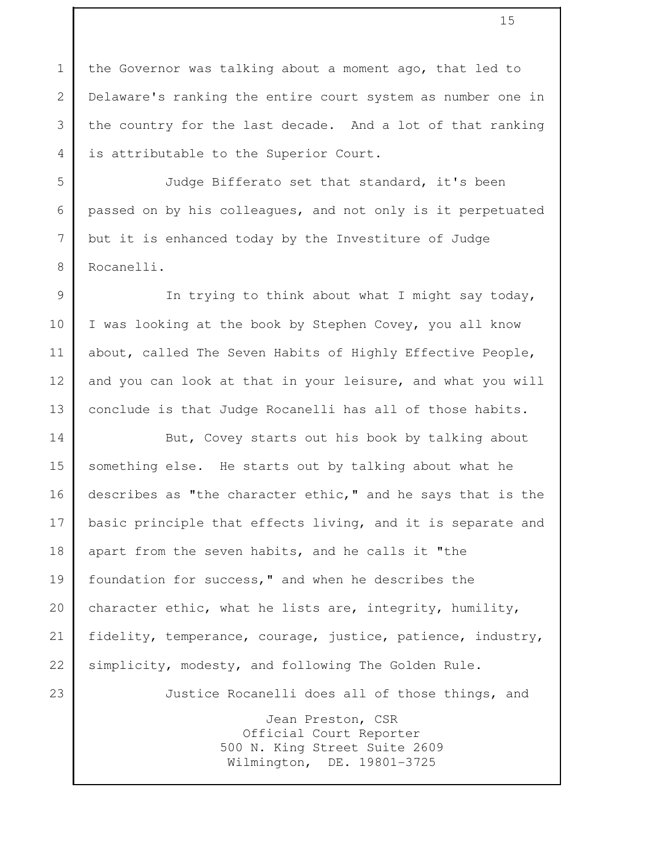1 the Governor was talking about a moment ago, that led to 2 Delaware's ranking the entire court system as number one in 3 the country for the last decade. And a lot of that ranking 4 is attributable to the Superior Court.

 5 Judge Bifferato set that standard, it's been 6 passed on by his colleagues, and not only is it perpetuated 7 but it is enhanced today by the Investiture of Judge 8 Rocanelli.

9 | The trying to think about what I might say today, 10 I was looking at the book by Stephen Covey, you all know 11 about, called The Seven Habits of Highly Effective People, 12 and you can look at that in your leisure, and what you will 13 conclude is that Judge Rocanelli has all of those habits.

14 But, Covey starts out his book by talking about 15 something else. He starts out by talking about what he 16 describes as "the character ethic," and he says that is the 17 basic principle that effects living, and it is separate and 18 apart from the seven habits, and he calls it "the 19 foundation for success," and when he describes the 20 character ethic, what he lists are, integrity, humility, 21 fidelity, temperance, courage, justice, patience, industry, 22 simplicity, modesty, and following The Golden Rule. 23 Justice Rocanelli does all of those things, and Jean Preston, CSR Official Court Reporter 500 N. King Street Suite 2609

Wilmington, DE. 19801-3725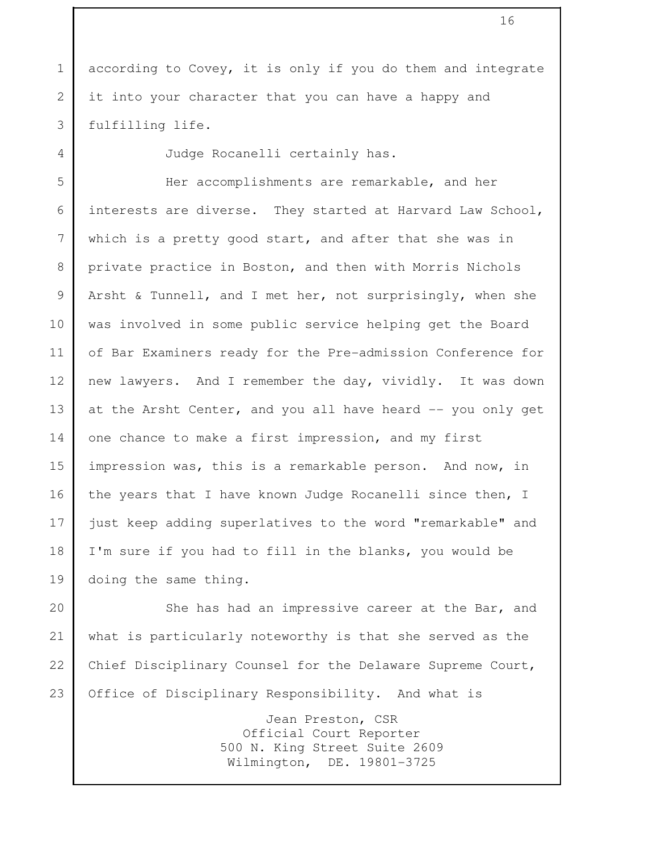1 according to Covey, it is only if you do them and integrate 2 it into your character that you can have a happy and 3 fulfilling life.

4 Judge Rocanelli certainly has.

 5 Her accomplishments are remarkable, and her 6 interests are diverse. They started at Harvard Law School, 7 which is a pretty good start, and after that she was in 8 private practice in Boston, and then with Morris Nichols 9 | Arsht & Tunnell, and I met her, not surprisingly, when she 10 was involved in some public service helping get the Board 11 of Bar Examiners ready for the Pre-admission Conference for 12 new lawyers. And I remember the day, vividly. It was down 13 at the Arsht Center, and you all have heard -- you only get 14 one chance to make a first impression, and my first 15 impression was, this is a remarkable person. And now, in 16 the years that I have known Judge Rocanelli since then, I 17 just keep adding superlatives to the word "remarkable" and 18 I'm sure if you had to fill in the blanks, you would be 19 doing the same thing.

20 She has had an impressive career at the Bar, and 21 what is particularly noteworthy is that she served as the 22 Chief Disciplinary Counsel for the Delaware Supreme Court, 23 Office of Disciplinary Responsibility. And what is

> Jean Preston, CSR Official Court Reporter 500 N. King Street Suite 2609 Wilmington, DE. 19801-3725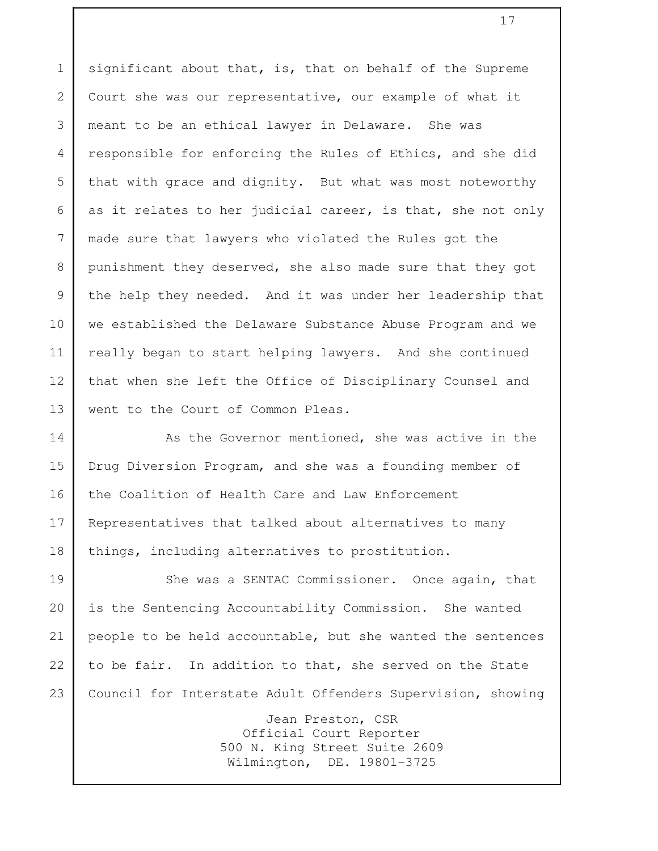1 significant about that, is, that on behalf of the Supreme 2 Court she was our representative, our example of what it 3 meant to be an ethical lawyer in Delaware. She was 4 responsible for enforcing the Rules of Ethics, and she did 5 that with grace and dignity. But what was most noteworthy 6 as it relates to her judicial career, is that, she not only 7 made sure that lawyers who violated the Rules got the 8 punishment they deserved, she also made sure that they got 9 the help they needed. And it was under her leadership that 10 we established the Delaware Substance Abuse Program and we 11 really began to start helping lawyers. And she continued 12 that when she left the Office of Disciplinary Counsel and 13 went to the Court of Common Pleas.

14 As the Governor mentioned, she was active in the 15 Drug Diversion Program, and she was a founding member of 16 the Coalition of Health Care and Law Enforcement 17 Representatives that talked about alternatives to many 18 things, including alternatives to prostitution.

19 She was a SENTAC Commissioner. Once again, that 20 is the Sentencing Accountability Commission. She wanted 21 people to be held accountable, but she wanted the sentences 22 to be fair. In addition to that, she served on the State 23 Council for Interstate Adult Offenders Supervision, showing

> Jean Preston, CSR Official Court Reporter 500 N. King Street Suite 2609 Wilmington, DE. 19801-3725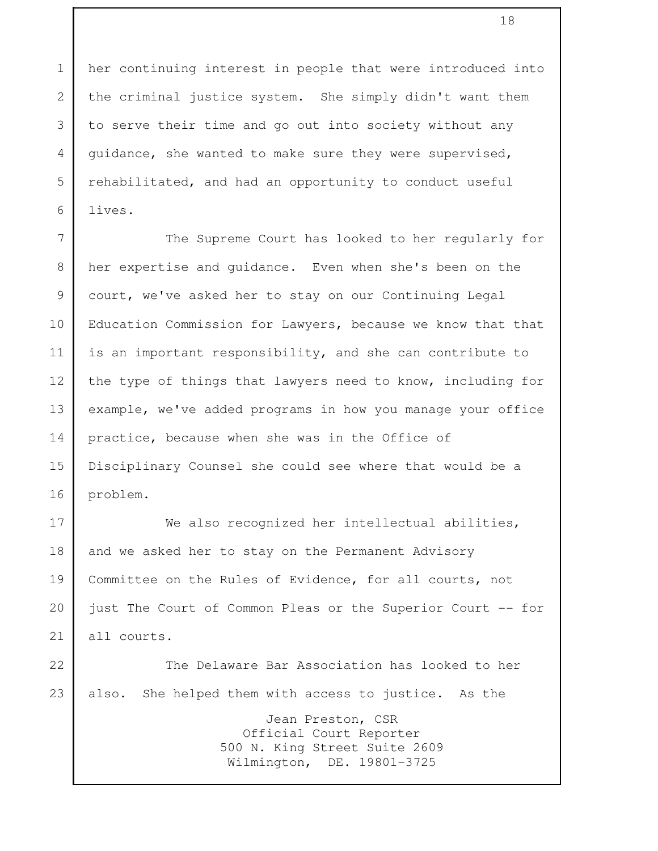1 her continuing interest in people that were introduced into 2 the criminal justice system. She simply didn't want them 3 to serve their time and go out into society without any 4 guidance, she wanted to make sure they were supervised, 5 rehabilitated, and had an opportunity to conduct useful 6 lives.

7 The Supreme Court has looked to her regularly for 8 her expertise and guidance. Even when she's been on the 9 court, we've asked her to stay on our Continuing Legal 10 Education Commission for Lawyers, because we know that that 11 is an important responsibility, and she can contribute to 12 the type of things that lawyers need to know, including for 13 example, we've added programs in how you manage your office 14 practice, because when she was in the Office of 15 Disciplinary Counsel she could see where that would be a 16 problem.

17 We also recognized her intellectual abilities, 18 and we asked her to stay on the Permanent Advisory 19 Committee on the Rules of Evidence, for all courts, not 20 just The Court of Common Pleas or the Superior Court -- for 21 all courts.

22 The Delaware Bar Association has looked to her 23 also. She helped them with access to justice. As the Jean Preston, CSR Official Court Reporter 500 N. King Street Suite 2609

Wilmington, DE. 19801-3725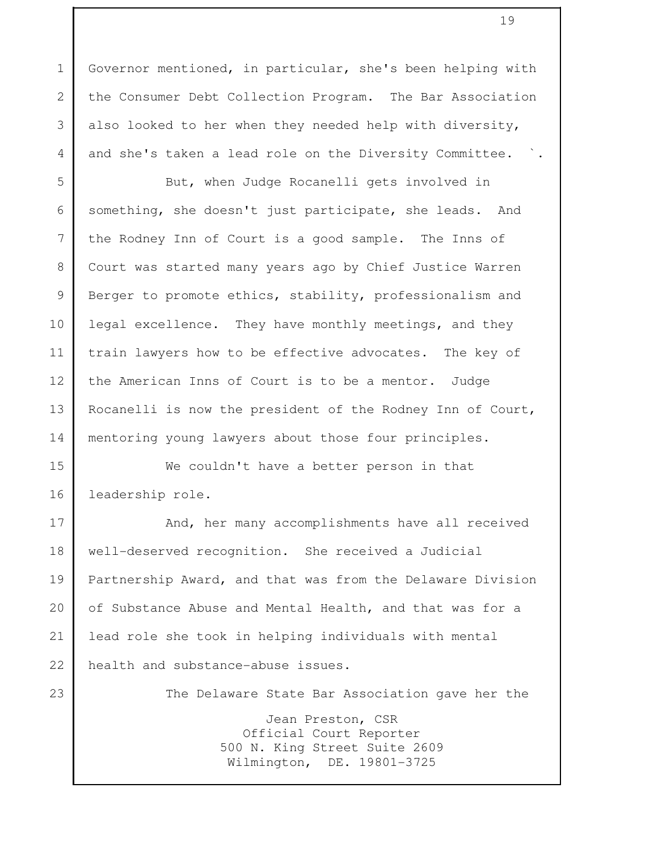1 Governor mentioned, in particular, she's been helping with 2 the Consumer Debt Collection Program. The Bar Association 3 also looked to her when they needed help with diversity, 4 and she's taken a lead role on the Diversity Committee.

5 But, when Judge Rocanelli gets involved in 6 something, she doesn't just participate, she leads. And 7 the Rodney Inn of Court is a good sample. The Inns of 8 Court was started many years ago by Chief Justice Warren 9 Berger to promote ethics, stability, professionalism and 10 legal excellence. They have monthly meetings, and they 11 train lawyers how to be effective advocates. The key of 12 the American Inns of Court is to be a mentor. Judge 13 Rocanelli is now the president of the Rodney Inn of Court, 14 | mentoring young lawyers about those four principles.

15 We couldn't have a better person in that 16 leadership role.

17 And, her many accomplishments have all received 18 well-deserved recognition. She received a Judicial 19 Partnership Award, and that was from the Delaware Division 20 of Substance Abuse and Mental Health, and that was for a 21 lead role she took in helping individuals with mental 22 health and substance-abuse issues.

23 The Delaware State Bar Association gave her the

 Jean Preston, CSR Official Court Reporter 500 N. King Street Suite 2609 Wilmington, DE. 19801-3725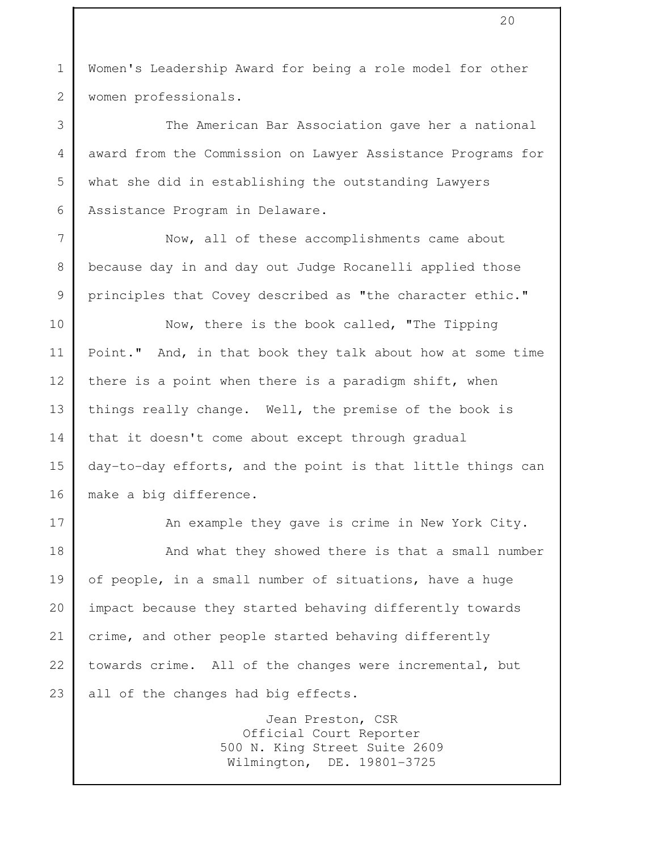1 Women's Leadership Award for being a role model for other 2 women professionals.

 3 The American Bar Association gave her a national 4 award from the Commission on Lawyer Assistance Programs for 5 what she did in establishing the outstanding Lawyers 6 Assistance Program in Delaware.

 7 Now, all of these accomplishments came about 8 because day in and day out Judge Rocanelli applied those 9 principles that Covey described as "the character ethic."

10 Now, there is the book called, "The Tipping 11 Point." And, in that book they talk about how at some time 12 there is a point when there is a paradigm shift, when 13 things really change. Well, the premise of the book is 14 that it doesn't come about except through gradual 15 day-to-day efforts, and the point is that little things can 16 make a big difference.

17 An example they gave is crime in New York City. 18 And what they showed there is that a small number 19 of people, in a small number of situations, have a huge 20 impact because they started behaving differently towards 21 crime, and other people started behaving differently 22 towards crime. All of the changes were incremental, but 23 all of the changes had big effects.

> Jean Preston, CSR Official Court Reporter 500 N. King Street Suite 2609 Wilmington, DE. 19801-3725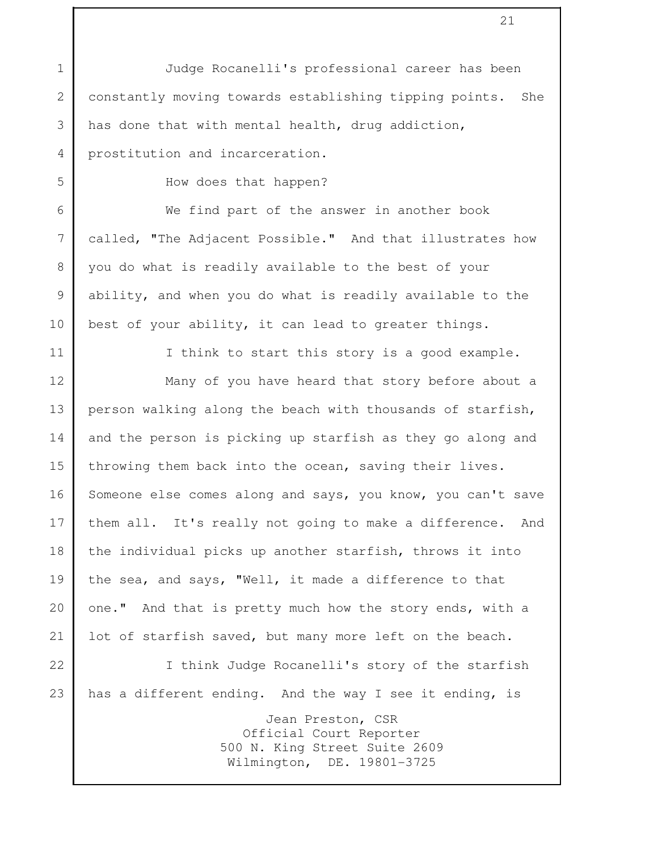1 Judge Rocanelli's professional career has been 2 constantly moving towards establishing tipping points. She 3 has done that with mental health, drug addiction, 4 prostitution and incarceration. 5 How does that happen? 6 We find part of the answer in another book 7 called, "The Adjacent Possible." And that illustrates how 8 you do what is readily available to the best of your 9 ability, and when you do what is readily available to the 10 best of your ability, it can lead to greater things. 11 I think to start this story is a good example. 12 Many of you have heard that story before about a 13 person walking along the beach with thousands of starfish, 14 and the person is picking up starfish as they go along and 15 throwing them back into the ocean, saving their lives. 16 Someone else comes along and says, you know, you can't save 17 them all. It's really not going to make a difference. And 18 the individual picks up another starfish, throws it into 19 the sea, and says, "Well, it made a difference to that 20 one." And that is pretty much how the story ends, with a 21 lot of starfish saved, but many more left on the beach. 22 I think Judge Rocanelli's story of the starfish 23 has a different ending. And the way I see it ending, is Jean Preston, CSR Official Court Reporter 500 N. King Street Suite 2609 Wilmington, DE. 19801-3725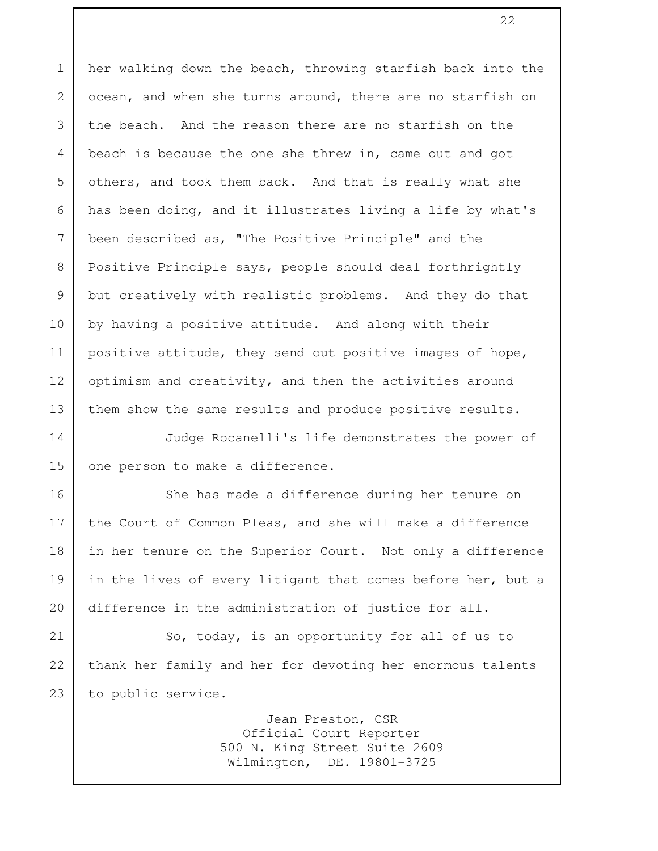1 her walking down the beach, throwing starfish back into the 2 ocean, and when she turns around, there are no starfish on 3 the beach. And the reason there are no starfish on the 4 beach is because the one she threw in, came out and got 5 others, and took them back. And that is really what she 6 has been doing, and it illustrates living a life by what's 7 been described as, "The Positive Principle" and the 8 Positive Principle says, people should deal forthrightly 9 but creatively with realistic problems. And they do that 10 by having a positive attitude. And along with their 11 positive attitude, they send out positive images of hope, 12 optimism and creativity, and then the activities around 13 them show the same results and produce positive results. 14 Judge Rocanelli's life demonstrates the power of 15 one person to make a difference. 16 She has made a difference during her tenure on 17 the Court of Common Pleas, and she will make a difference 18 in her tenure on the Superior Court. Not only a difference 19 in the lives of every litigant that comes before her, but a 20 difference in the administration of justice for all. 21 So, today, is an opportunity for all of us to 22 thank her family and her for devoting her enormous talents 23 to public service. Jean Preston, CSR

 Official Court Reporter 500 N. King Street Suite 2609 Wilmington, DE. 19801-3725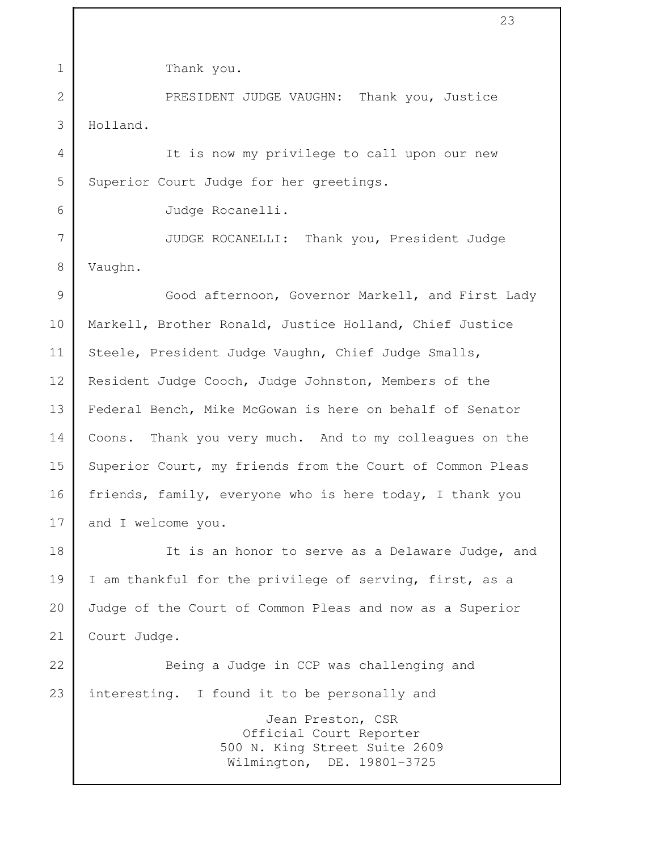1 Thank you. 2 PRESIDENT JUDGE VAUGHN: Thank you, Justice 3 Holland. 4 It is now my privilege to call upon our new 5 Superior Court Judge for her greetings. 6 Judge Rocanelli. 7 JUDGE ROCANELLI: Thank you, President Judge 8 Vaughn. 9 Good afternoon, Governor Markell, and First Lady 10 Markell, Brother Ronald, Justice Holland, Chief Justice 11 Steele, President Judge Vaughn, Chief Judge Smalls, 12 Resident Judge Cooch, Judge Johnston, Members of the 13 Federal Bench, Mike McGowan is here on behalf of Senator 14 Coons. Thank you very much. And to my colleagues on the 15 Superior Court, my friends from the Court of Common Pleas 16 friends, family, everyone who is here today, I thank you 17 and I welcome you. 18 It is an honor to serve as a Delaware Judge, and 19 | I am thankful for the privilege of serving, first, as a 20 Judge of the Court of Common Pleas and now as a Superior 21 Court Judge. 22 Being a Judge in CCP was challenging and 23 interesting. I found it to be personally and Jean Preston, CSR Official Court Reporter 500 N. King Street Suite 2609 Wilmington, DE. 19801-3725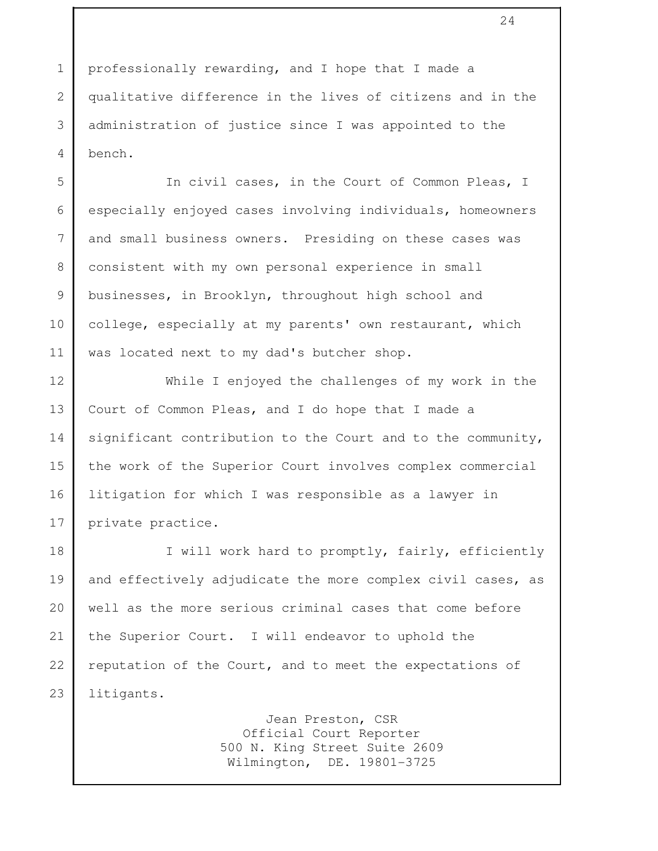1 professionally rewarding, and I hope that I made a 2 qualitative difference in the lives of citizens and in the 3 administration of justice since I was appointed to the 4 bench.

 5 In civil cases, in the Court of Common Pleas, I 6 especially enjoyed cases involving individuals, homeowners 7 and small business owners. Presiding on these cases was 8 consistent with my own personal experience in small 9 businesses, in Brooklyn, throughout high school and 10 college, especially at my parents' own restaurant, which 11 | was located next to my dad's butcher shop.

12 While I enjoyed the challenges of my work in the 13 Court of Common Pleas, and I do hope that I made a 14 significant contribution to the Court and to the community, 15 the work of the Superior Court involves complex commercial 16 litigation for which I was responsible as a lawyer in 17 private practice.

18 I will work hard to promptly, fairly, efficiently 19 and effectively adjudicate the more complex civil cases, as 20 well as the more serious criminal cases that come before 21 the Superior Court. I will endeavor to uphold the 22 reputation of the Court, and to meet the expectations of 23 litigants.

> Jean Preston, CSR Official Court Reporter 500 N. King Street Suite 2609 Wilmington, DE. 19801-3725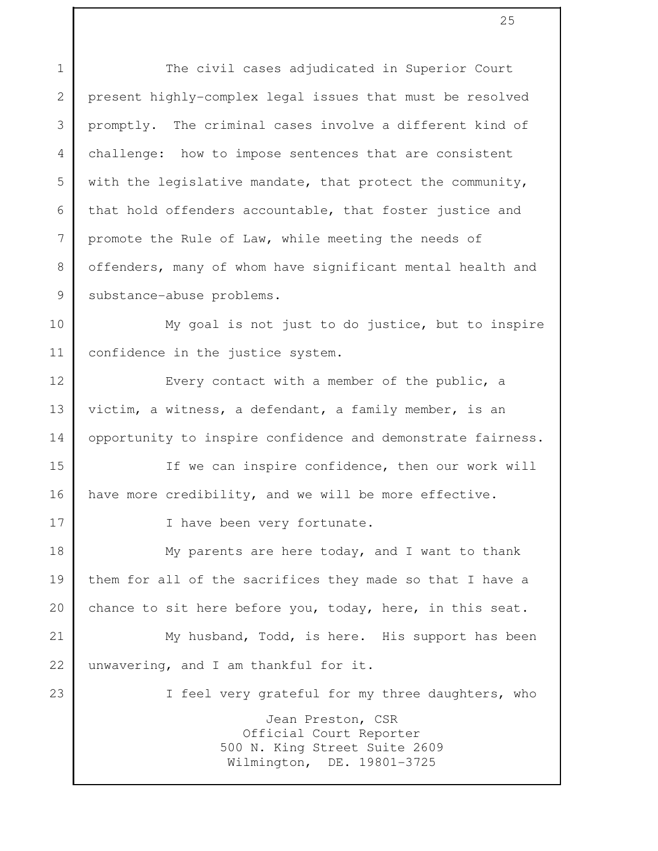1 The civil cases adjudicated in Superior Court 2 present highly-complex legal issues that must be resolved 3 promptly. The criminal cases involve a different kind of 4 challenge: how to impose sentences that are consistent 5 with the legislative mandate, that protect the community, 6 that hold offenders accountable, that foster justice and 7 promote the Rule of Law, while meeting the needs of 8 offenders, many of whom have significant mental health and 9 | substance-abuse problems. 10 My goal is not just to do justice, but to inspire 11 confidence in the justice system. 12 Every contact with a member of the public, a 13 victim, a witness, a defendant, a family member, is an 14 opportunity to inspire confidence and demonstrate fairness. 15 If we can inspire confidence, then our work will 16 have more credibility, and we will be more effective. 17 I have been very fortunate. 18 My parents are here today, and I want to thank 19 them for all of the sacrifices they made so that I have a 20 chance to sit here before you, today, here, in this seat. 21 My husband, Todd, is here. His support has been 22 unwavering, and I am thankful for it. 23 I feel very grateful for my three daughters, who Jean Preston, CSR Official Court Reporter 500 N. King Street Suite 2609 Wilmington, DE. 19801-3725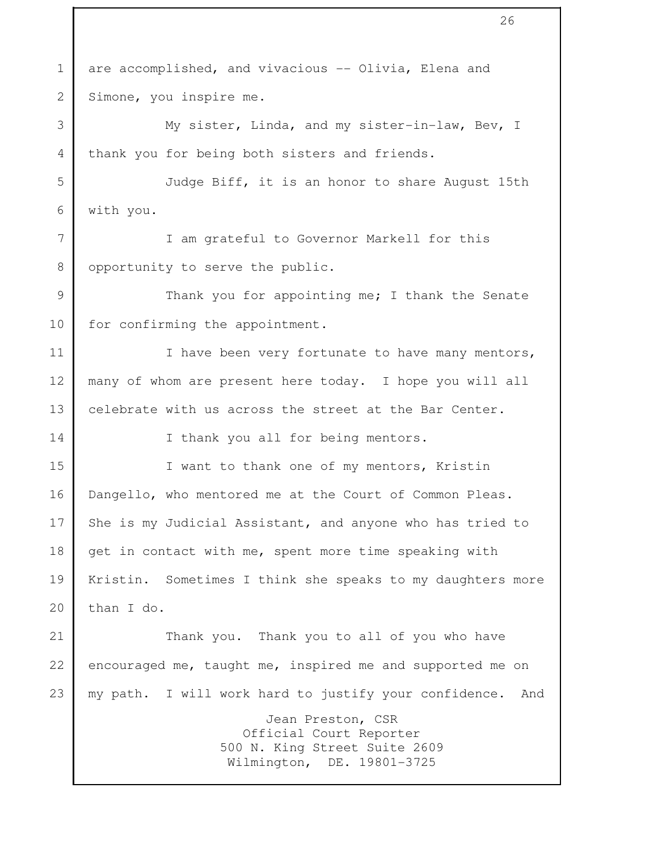1 are accomplished, and vivacious -- Olivia, Elena and 2 Simone, you inspire me. 3 My sister, Linda, and my sister-in-law, Bev, I 4 thank you for being both sisters and friends. 5 Judge Biff, it is an honor to share August 15th 6 with you. 7 I am grateful to Governor Markell for this 8 opportunity to serve the public. 9 Thank you for appointing me; I thank the Senate 10 for confirming the appointment. 11 I lave been very fortunate to have many mentors, 12 many of whom are present here today. I hope you will all 13 celebrate with us across the street at the Bar Center. 14 I thank you all for being mentors. 15 I want to thank one of my mentors, Kristin 16 Dangello, who mentored me at the Court of Common Pleas. 17 She is my Judicial Assistant, and anyone who has tried to 18 get in contact with me, spent more time speaking with 19 Kristin. Sometimes I think she speaks to my daughters more 20 than I do. 21 Thank you. Thank you to all of you who have 22 encouraged me, taught me, inspired me and supported me on 23 my path. I will work hard to justify your confidence. And Jean Preston, CSR Official Court Reporter 500 N. King Street Suite 2609 Wilmington, DE. 19801-3725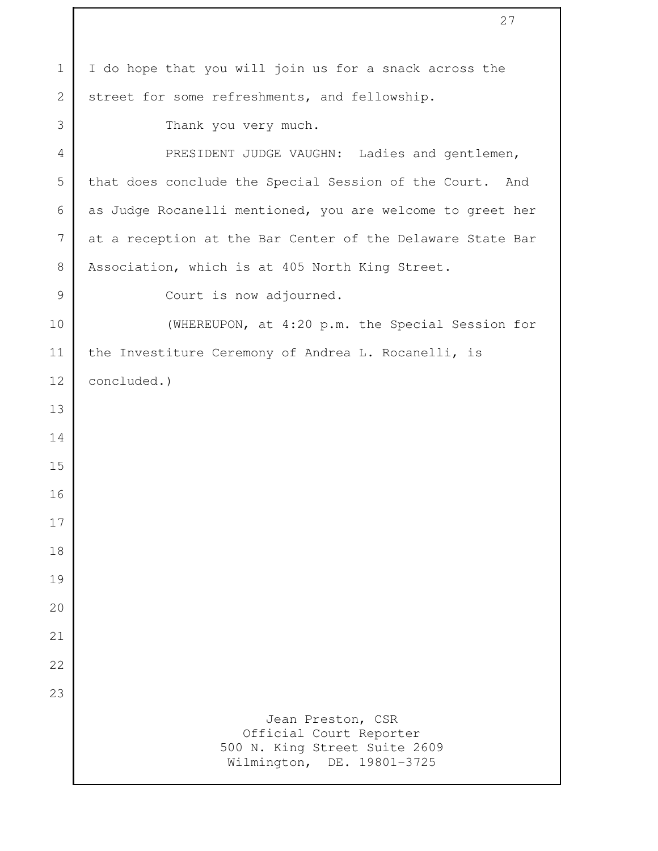| $\mathbf 1$    | I do hope that you will join us for a snack across the                                                      |
|----------------|-------------------------------------------------------------------------------------------------------------|
| $\overline{2}$ | street for some refreshments, and fellowship.                                                               |
| 3              | Thank you very much.                                                                                        |
| 4              | PRESIDENT JUDGE VAUGHN: Ladies and gentlemen,                                                               |
| 5              | that does conclude the Special Session of the Court. And                                                    |
| 6              | as Judge Rocanelli mentioned, you are welcome to greet her                                                  |
| 7              | at a reception at the Bar Center of the Delaware State Bar                                                  |
| 8              | Association, which is at 405 North King Street.                                                             |
| 9              | Court is now adjourned.                                                                                     |
| 10             | (WHEREUPON, at 4:20 p.m. the Special Session for                                                            |
| 11             | the Investiture Ceremony of Andrea L. Rocanelli, is                                                         |
| 12             | concluded.)                                                                                                 |
| 13             |                                                                                                             |
| 14             |                                                                                                             |
| 15             |                                                                                                             |
| 16             |                                                                                                             |
| 17             |                                                                                                             |
| 18             |                                                                                                             |
| 19             |                                                                                                             |
| 20             |                                                                                                             |
| 21             |                                                                                                             |
| 22             |                                                                                                             |
| 23             |                                                                                                             |
|                | Jean Preston, CSR<br>Official Court Reporter<br>500 N. King Street Suite 2609<br>Wilmington, DE. 19801-3725 |